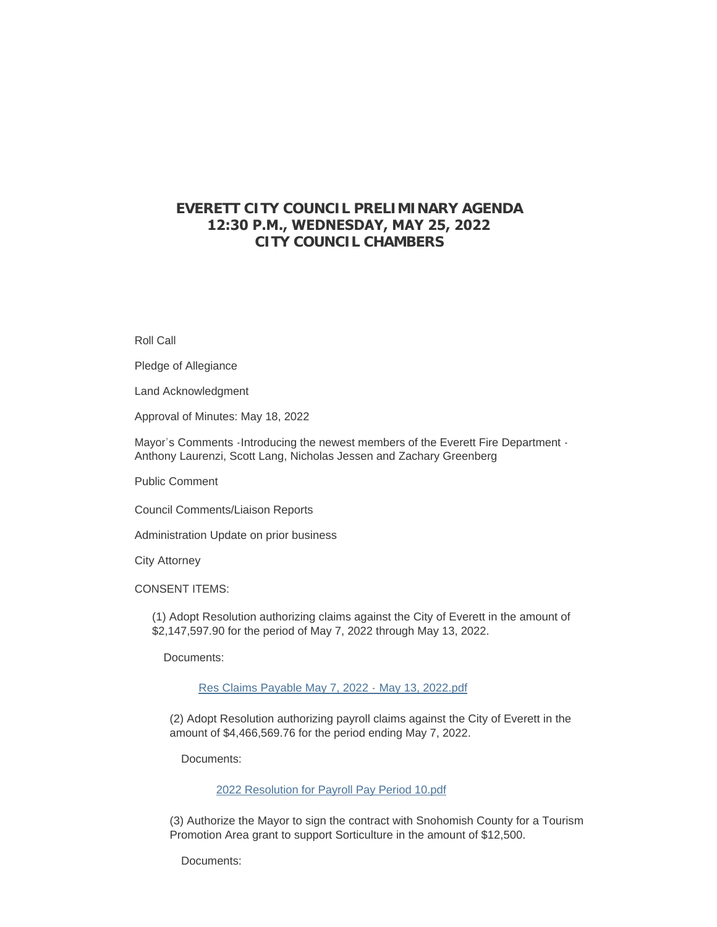# **EVERETT CITY COUNCIL PRELIMINARY AGENDA 12:30 P.M., WEDNESDAY, MAY 25, 2022 CITY COUNCIL CHAMBERS**

Roll Call

Pledge of Allegiance

Land Acknowledgment

Approval of Minutes: May 18, 2022

Mayor's Comments -Introducing the newest members of the Everett Fire Department - Anthony Laurenzi, Scott Lang, Nicholas Jessen and Zachary Greenberg

Public Comment

Council Comments/Liaison Reports

Administration Update on prior business

City Attorney

CONSENT ITEMS:

(1) Adopt Resolution authorizing claims against the City of Everett in the amount of \$2,147,597.90 for the period of May 7, 2022 through May 13, 2022.

Documents:

[Res Claims Payable May 7, 2022 - May 13, 2022.pdf](https://www.everettwa.gov/AgendaCenter/ViewFile/Item/13775?fileID=81138)

(2) Adopt Resolution authorizing payroll claims against the City of Everett in the amount of \$4,466,569.76 for the period ending May 7, 2022.

Documents:

[2022 Resolution for Payroll Pay Period 10.pdf](https://www.everettwa.gov/AgendaCenter/ViewFile/Item/13776?fileID=81139)

(3) Authorize the Mayor to sign the contract with Snohomish County for a Tourism Promotion Area grant to support Sorticulture in the amount of \$12,500.

Documents: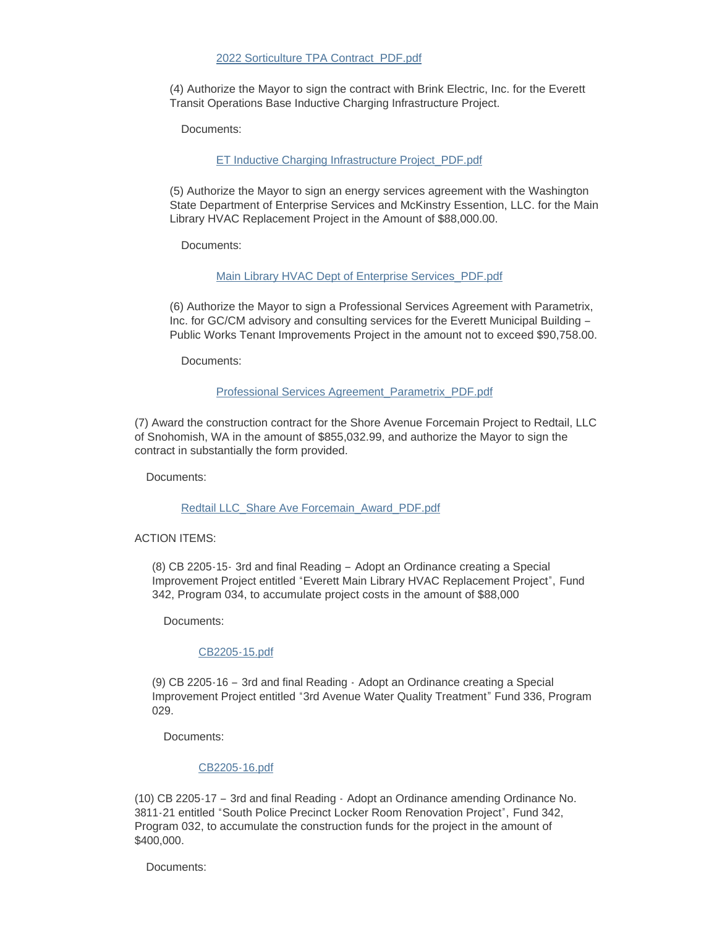#### [2022 Sorticulture TPA Contract\\_PDF.pdf](https://www.everettwa.gov/AgendaCenter/ViewFile/Item/13777?fileID=81140)

(4) Authorize the Mayor to sign the contract with Brink Electric, Inc. for the Everett Transit Operations Base Inductive Charging Infrastructure Project.

Documents:

[ET Inductive Charging Infrastructure Project\\_PDF.pdf](https://www.everettwa.gov/AgendaCenter/ViewFile/Item/13778?fileID=81141)

(5) Authorize the Mayor to sign an energy services agreement with the Washington State Department of Enterprise Services and McKinstry Essention, LLC. for the Main Library HVAC Replacement Project in the Amount of \$88,000.00.

Documents:

[Main Library HVAC Dept of Enterprise Services\\_PDF.pdf](https://www.everettwa.gov/AgendaCenter/ViewFile/Item/13779?fileID=81142)

(6) Authorize the Mayor to sign a Professional Services Agreement with Parametrix, Inc. for GC/CM advisory and consulting services for the Everett Municipal Building – Public Works Tenant Improvements Project in the amount not to exceed \$90,758.00.

Documents:

### [Professional Services Agreement\\_Parametrix\\_PDF.pdf](https://www.everettwa.gov/AgendaCenter/ViewFile/Item/13780?fileID=81143)

(7) Award the construction contract for the Shore Avenue Forcemain Project to Redtail, LLC of Snohomish, WA in the amount of \$855,032.99, and authorize the Mayor to sign the contract in substantially the form provided.

Documents:

[Redtail LLC\\_Share Ave Forcemain\\_Award\\_PDF.pdf](https://www.everettwa.gov/AgendaCenter/ViewFile/Item/13781?fileID=81144)

#### ACTION ITEMS:

(8) CB 2205-15- 3rd and final Reading – Adopt an Ordinance creating a Special Improvement Project entitled "Everett Main Library HVAC Replacement Project", Fund 342, Program 034, to accumulate project costs in the amount of \$88,000

Documents:

#### [CB2205-15.pdf](https://www.everettwa.gov/AgendaCenter/ViewFile/Item/13782?fileID=81145)

(9) CB 2205-16 – 3rd and final Reading - Adopt an Ordinance creating a Special Improvement Project entitled "3rd Avenue Water Quality Treatment" Fund 336, Program 029.

Documents:

### [CB2205-16.pdf](https://www.everettwa.gov/AgendaCenter/ViewFile/Item/13783?fileID=81146)

(10) CB 2205-17 – 3rd and final Reading - Adopt an Ordinance amending Ordinance No. 3811-21 entitled "South Police Precinct Locker Room Renovation Project", Fund 342, Program 032, to accumulate the construction funds for the project in the amount of \$400,000.

Documents: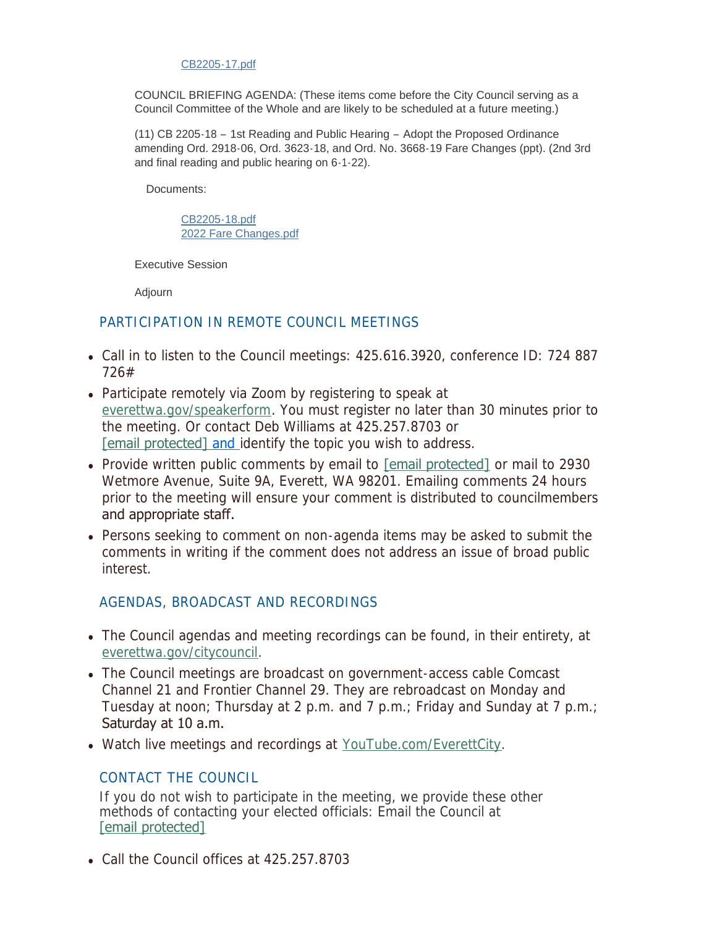### [CB2205-17.pdf](https://www.everettwa.gov/AgendaCenter/ViewFile/Item/13784?fileID=81147)

COUNCIL BRIEFING AGENDA: (These items come before the City Council serving as a Council Committee of the Whole and are likely to be scheduled at a future meeting.)

(11) CB 2205-18 – 1st Reading and Public Hearing – Adopt the Proposed Ordinance amending Ord. 2918-06, Ord. 3623-18, and Ord. No. 3668-19 Fare Changes (ppt). (2nd 3rd and final reading and public hearing on 6-1-22).

Documents:

[CB2205-18.pdf](https://www.everettwa.gov/AgendaCenter/ViewFile/Item/13785?fileID=81148) [2022 Fare Changes.pdf](https://www.everettwa.gov/AgendaCenter/ViewFile/Item/13785?fileID=81149)

Executive Session

Adjourn

## PARTICIPATION IN REMOTE COUNCIL MEETINGS

- Call in to listen to the Council meetings: 425.616.3920, conference ID: 724 887 726#
- [Participate remotely via Zoo](http://everettwa.gov/speakerform)m by registering to speak at everettwa.gov/speakerform. You must register no later than 30 minutes prior to [the meeting. Or c](https://www.everettwa.gov/cdn-cgi/l/email-protection#f490839d98989d959987b4918291869180808395da939b82)ontact Deb Williams at 425.257.8703 or [email protected] and identify the topic you wish to address.
- Provide written public comments by email to [\[email protected\]](https://www.everettwa.gov/cdn-cgi/l/email-protection) or mail to 2930 Wetmore Avenue, Suite 9A, Everett, WA 98201. Emailing comments 24 hours prior to the meeting will ensure your comment is distributed to councilmembers and appropriate staff.
- Persons seeking to comment on non-agenda items may be asked to submit the comments in writing if the comment does not address an issue of broad public interest.

# AGENDAS, BROADCAST AND RECORDINGS

- [The Council agendas and](http://everettwa.gov/citycouncil) meeting recordings can be found, in their entirety, at everettwa.gov/citycouncil.
- The Council meetings are broadcast on government-access cable Comcast Channel 21 and Frontier Channel 29. They are rebroadcast on Monday and Tuesday at noon; Thursday at 2 p.m. and 7 p.m.; Friday and Sunday at 7 p.m.; Saturday at 10 a.m.
- Watch live meetings and recordings at [YouTube.com/EverettCity](http://youtube.com/everettcity).

# CONTACT THE COUNCIL

If you do not wish to participate in the meeting, we provide these other [methods of conta](https://www.everettwa.gov/cdn-cgi/l/email-protection#d192bea4bfb2b8bd91b4a7b4a3b4a5a5a6b0ffb6bea7)cting your elected officials: Email the Council at [email protected]

• Call the Council offices at  $425.257.8703$